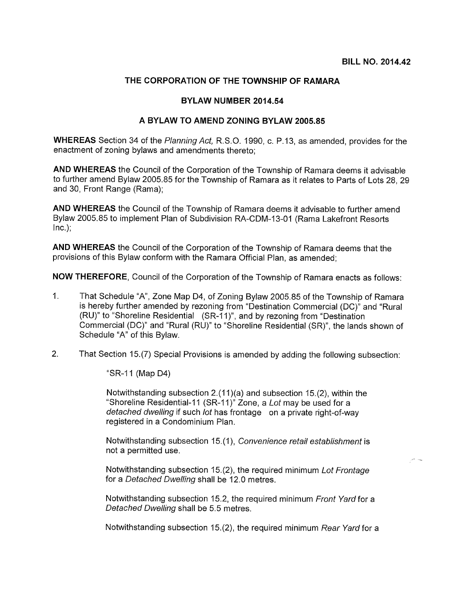## THE CORPORATION OF THE TOWNSHIP OF RAMARA

## BYLAW NUMBER 2014.54

## A BYLAW TO AMEND ZONING BYLAW 2005.85

WHEREAS Section 34 of the Planning Act, R.S.O. 1990, c. P.13, as amended, provides for the enactment of zoning bylaws and amendments thereto;

AND WHEREAS the Council of the Corporation of the Township of Ramara deems it advisable to further amend Bylaw 2005.85 for the Township of Ramara as it relates to Parts of Lots 28, 29 and 30, Front Range (Rama);

AND WHEREAS the Council of the Township of Ramara deems it advisable to further amend Bylaw 2005.85 to implement Plan of Subdivision RA-CDM-13-01 (Rama Lakefront Resorts  $Inc.$ );

AND WHEREAS the Council of the Corporation of the Township of Ramara deems that the provisions of this Bylaw conform with the Ramara Official Plan, as amended;

NOW THEREFORE, Council of the Corporation of the Township of Ramara enacts as follows:

- 1. That Schedule "A", Zone Map D4, of Zoning Bylaw 2005.85 of the Township of Ramara is hereby further amended by rezoning from "Destination Commercial (DC)" and "Rural (RU)" to "Shoreline Residential (SR-11)", and by rezoning from "Destination Commercial (DC)" and "Rural (RU)" to "Shoreline Residential (SR)", the lands shown of Schedule "A" of this Bylaw.
- 2. That Section 15.(7) Special Provisions is amended by adding the following subsection:

"SR-il (Map D4)

Notwithstanding subsection  $2.(11)(a)$  and subsection 15.(2), within the "Shoreline Residential-11 (SR-11)" Zone, a Lot may be used for a detached dwelling if such lot has frontage on a private right-of-way registered in a Condominium Plan.

Notwithstanding subsection 15.(1), Convenience retail establishment is not a permitted use.

Notwithstanding subsection 15.(2), the required minimum Lot Frontage for a Detached Dwelling shall be 12.0 metres.

Notwithstanding subsection 15.2, the required minimum Front Yard for a Detached Dwelling shall be 5.5 metres.

Notwithstanding subsection 15.(2), the required minimum Rear Yard for a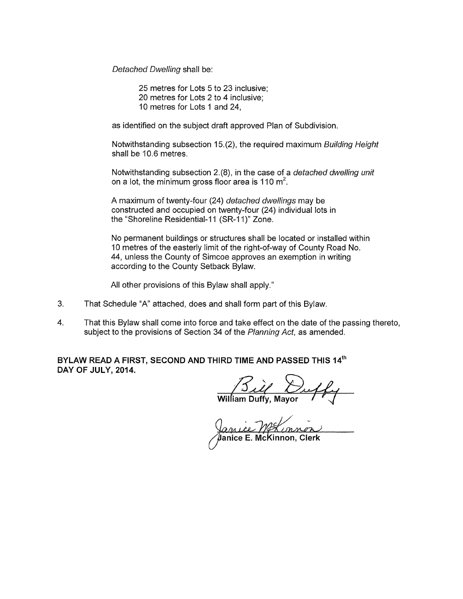Detached Dwelling shall be:

25 metres for Lots 5 to 23 inclusive; 20 metres for Lots 2 to 4 inclusive; 10 metres for Lots <sup>1</sup> and 24,

as identified on the subject draft approved Plan of Subdivision.

Notwithstanding subsection 15.(2), the required maximum Building Height shall be 10.6 metres.

Notwithstanding subsection 2.(8), in the case of a detached dwelling unit shall be 10.6 metres.<br>Notwithstanding subsection 2.(8), in the case of a<br>on a lot, the minimum gross floor area is 110 m<sup>2</sup>.

A maximum of twenty-four (24) detached dwellings may be constructed and occupied on twenty-four (24) individual lots in the "Shoreline Residential-11 (SR-11)" Zone.

No permanent buildings or structures shall be located or installed within 10 metres of the easterly limit of the right-of-way of County Road No. 44, unless the County of Simcoe approves an exemption in writing according to the County Setback Bylaw.

All other provisions of this Bylaw shall apply."

- 3. That Schedule "A" attached, does and shall form part of this Bylaw.
- 4. That this Bylaw shall come into force and take effect on the date of the passing thereto, subject to the provisions of Section 34 of the Planning Act, as amended.

BYLAW READ A FIRST, SECOND AND THIRD TIME AND PASSED THIS 14th DAY OF JULY, 2014.

William Duffy, Mayor

Janice E. McKinnon, Clerk